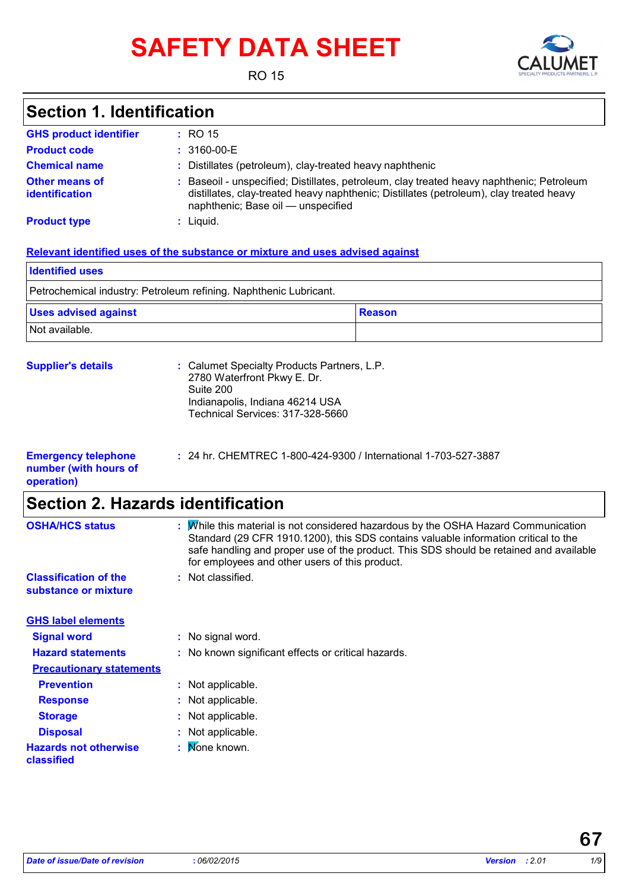# **SAFETY DATA SHEET**



RO 15

## **Section 1. Identification**

| <b>GHS product identifier</b>                  | $\pm$ RO 15                                                                                                                                                                                                                |
|------------------------------------------------|----------------------------------------------------------------------------------------------------------------------------------------------------------------------------------------------------------------------------|
| <b>Product code</b>                            | $: 3160 - 00 - E$                                                                                                                                                                                                          |
| <b>Chemical name</b>                           | : Distillates (petroleum), clay-treated heavy naphthenic                                                                                                                                                                   |
| <b>Other means of</b><br><b>identification</b> | : Baseoil - unspecified; Distillates, petroleum, clay treated heavy naphthenic; Petroleum<br>distillates, clay-treated heavy naphthenic; Distillates (petroleum), clay treated heavy<br>naphthenic; Base oil — unspecified |
| <b>Product type</b>                            | : Liquid.                                                                                                                                                                                                                  |

### **Relevant identified uses of the substance or mixture and uses advised against**

| <b>Identified uses</b>                                            |        |  |  |
|-------------------------------------------------------------------|--------|--|--|
| Petrochemical industry: Petroleum refining. Naphthenic Lubricant. |        |  |  |
| <b>Uses advised against</b>                                       | Reason |  |  |
| Not available.                                                    |        |  |  |

| <b>Supplier's details</b> | : Calumet Specialty Products Partners, L.P.<br>2780 Waterfront Pkwy E. Dr.<br>Suite 200<br>Indianapolis, Indiana 46214 USA<br>Technical Services: 317-328-5660 |
|---------------------------|----------------------------------------------------------------------------------------------------------------------------------------------------------------|
|                           |                                                                                                                                                                |

| <b>Emergency telephone</b> | : 24 hr. CHEMTREC 1-800-424-9300 / International 1-703-527-3887 |
|----------------------------|-----------------------------------------------------------------|
| number (with hours of      |                                                                 |
| operation)                 |                                                                 |

## **Section 2. Hazards identification**

| <b>OSHA/HCS status</b>                               | t  | While this material is not considered hazardous by the OSHA Hazard Communication<br>Standard (29 CFR 1910.1200), this SDS contains valuable information critical to the<br>safe handling and proper use of the product. This SDS should be retained and available<br>for employees and other users of this product. |
|------------------------------------------------------|----|---------------------------------------------------------------------------------------------------------------------------------------------------------------------------------------------------------------------------------------------------------------------------------------------------------------------|
| <b>Classification of the</b><br>substance or mixture |    | : Not classified.                                                                                                                                                                                                                                                                                                   |
| <b>GHS label elements</b>                            |    |                                                                                                                                                                                                                                                                                                                     |
| <b>Signal word</b>                                   |    | : No signal word.                                                                                                                                                                                                                                                                                                   |
| <b>Hazard statements</b>                             |    | : No known significant effects or critical hazards.                                                                                                                                                                                                                                                                 |
| <b>Precautionary statements</b>                      |    |                                                                                                                                                                                                                                                                                                                     |
| <b>Prevention</b>                                    |    | : Not applicable.                                                                                                                                                                                                                                                                                                   |
| <b>Response</b>                                      | ÷. | Not applicable.                                                                                                                                                                                                                                                                                                     |
| <b>Storage</b>                                       |    | Not applicable.                                                                                                                                                                                                                                                                                                     |
| <b>Disposal</b>                                      | ÷. | Not applicable.                                                                                                                                                                                                                                                                                                     |
| <b>Hazards not otherwise</b><br>classified           |    | Mone known.                                                                                                                                                                                                                                                                                                         |
|                                                      |    |                                                                                                                                                                                                                                                                                                                     |

**67**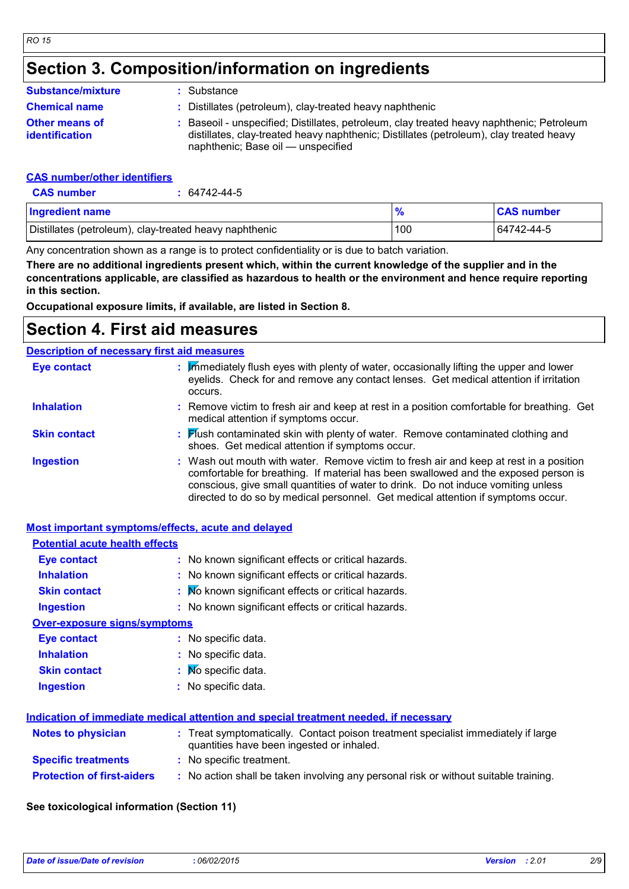## **Section 3. Composition/information on ingredients**

| <b>Substance/mixture</b>                       | : Substance                                                                                                                                                                                                              |
|------------------------------------------------|--------------------------------------------------------------------------------------------------------------------------------------------------------------------------------------------------------------------------|
| <b>Chemical name</b>                           | : Distillates (petroleum), clay-treated heavy naphthenic                                                                                                                                                                 |
| <b>Other means of</b><br><b>identification</b> | Baseoil - unspecified; Distillates, petroleum, clay treated heavy naphthenic; Petroleum<br>distillates, clay-treated heavy naphthenic; Distillates (petroleum), clay treated heavy<br>naphthenic; Base oil — unspecified |

### **CAS number/other identifiers**

| <b>CAS number</b>                                      | 64742-44-5 |               |                   |
|--------------------------------------------------------|------------|---------------|-------------------|
| <b>Ingredient name</b>                                 |            | $\frac{1}{2}$ | <b>CAS number</b> |
| Distillates (petroleum), clay-treated heavy naphthenic |            | 100           | 64742-44-5        |

Any concentration shown as a range is to protect confidentiality or is due to batch variation.

**There are no additional ingredients present which, within the current knowledge of the supplier and in the concentrations applicable, are classified as hazardous to health or the environment and hence require reporting in this section.**

**Occupational exposure limits, if available, are listed in Section 8.**

## **Section 4. First aid measures**

### **Description of necessary first aid measures**

| <b>Eye contact</b>  | : Immediately flush eyes with plenty of water, occasionally lifting the upper and lower<br>eyelids. Check for and remove any contact lenses. Get medical attention if irritation<br>occurs.                                                                                                                                                            |
|---------------------|--------------------------------------------------------------------------------------------------------------------------------------------------------------------------------------------------------------------------------------------------------------------------------------------------------------------------------------------------------|
| <b>Inhalation</b>   | : Remove victim to fresh air and keep at rest in a position comfortable for breathing. Get<br>medical attention if symptoms occur.                                                                                                                                                                                                                     |
| <b>Skin contact</b> | : Flush contaminated skin with plenty of water. Remove contaminated clothing and<br>shoes. Get medical attention if symptoms occur.                                                                                                                                                                                                                    |
| <b>Ingestion</b>    | : Wash out mouth with water. Remove victim to fresh air and keep at rest in a position<br>comfortable for breathing. If material has been swallowed and the exposed person is<br>conscious, give small quantities of water to drink. Do not induce vomiting unless<br>directed to do so by medical personnel. Get medical attention if symptoms occur. |

### **Most important symptoms/effects, acute and delayed**

| <b>Potential acute health effects</b> |                                                                                                                                |
|---------------------------------------|--------------------------------------------------------------------------------------------------------------------------------|
| Eye contact                           | : No known significant effects or critical hazards.                                                                            |
| <b>Inhalation</b>                     | : No known significant effects or critical hazards.                                                                            |
| <b>Skin contact</b>                   | : No known significant effects or critical hazards.                                                                            |
| <b>Ingestion</b>                      | : No known significant effects or critical hazards.                                                                            |
| <b>Over-exposure signs/symptoms</b>   |                                                                                                                                |
| Eye contact                           | : No specific data.                                                                                                            |
| <b>Inhalation</b>                     | : No specific data.                                                                                                            |
| <b>Skin contact</b>                   | $\mathbf{N}$ Mo specific data.                                                                                                 |
| <b>Ingestion</b>                      | No specific data.                                                                                                              |
|                                       | Indication of immediate medical attention and special treatment needed, if necessary                                           |
| <b>Notes to physician</b>             | : Treat symptomatically. Contact poison treatment specialist immediately if large<br>quantities have been ingested or inhaled. |
| <b>Specific treatments</b>            | : No specific treatment.                                                                                                       |
| <b>Protection of first-aiders</b>     | : No action shall be taken involving any personal risk or without suitable training.                                           |

### **See toxicological information (Section 11)**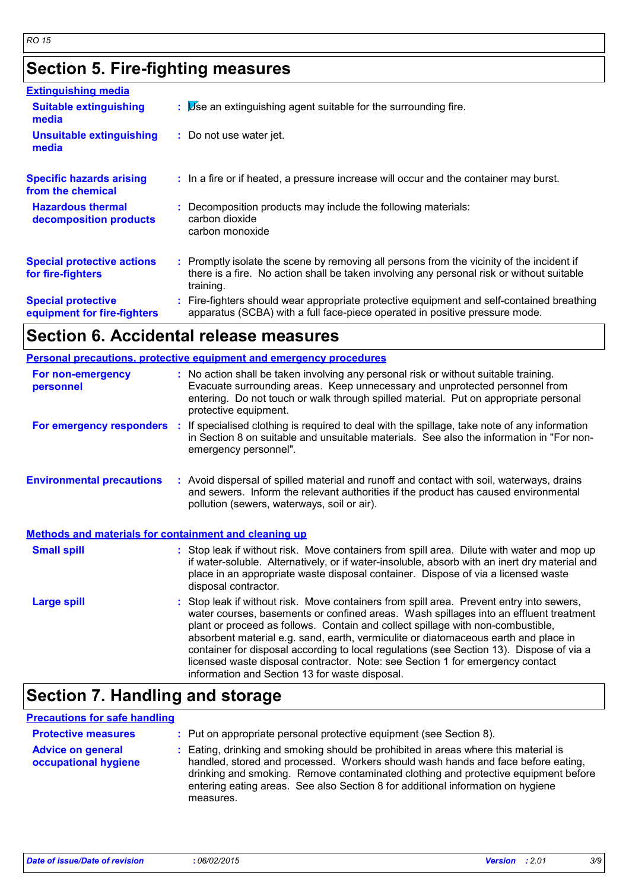## **Section 5. Fire-fighting measures**

| <b>Extinguishing media</b>                               |                                                                                                                                                                                                     |
|----------------------------------------------------------|-----------------------------------------------------------------------------------------------------------------------------------------------------------------------------------------------------|
| <b>Suitable extinguishing</b><br>media                   | $\mathbf{B}$ Use an extinguishing agent suitable for the surrounding fire.                                                                                                                          |
| <b>Unsuitable extinguishing</b><br>media                 | : Do not use water jet.                                                                                                                                                                             |
| <b>Specific hazards arising</b><br>from the chemical     | : In a fire or if heated, a pressure increase will occur and the container may burst.                                                                                                               |
| <b>Hazardous thermal</b><br>decomposition products       | Decomposition products may include the following materials:<br>carbon dioxide<br>carbon monoxide                                                                                                    |
| <b>Special protective actions</b><br>for fire-fighters   | : Promptly isolate the scene by removing all persons from the vicinity of the incident if<br>there is a fire. No action shall be taken involving any personal risk or without suitable<br>training. |
| <b>Special protective</b><br>equipment for fire-fighters | : Fire-fighters should wear appropriate protective equipment and self-contained breathing<br>apparatus (SCBA) with a full face-piece operated in positive pressure mode.                            |

## **Section 6. Accidental release measures**

|                                                       | <b>Personal precautions, protective equipment and emergency procedures</b>                                                                                                                                                                                                                                                                                                                                                                                                                                                                                                                 |
|-------------------------------------------------------|--------------------------------------------------------------------------------------------------------------------------------------------------------------------------------------------------------------------------------------------------------------------------------------------------------------------------------------------------------------------------------------------------------------------------------------------------------------------------------------------------------------------------------------------------------------------------------------------|
| For non-emergency<br>personnel                        | : No action shall be taken involving any personal risk or without suitable training.<br>Evacuate surrounding areas. Keep unnecessary and unprotected personnel from<br>entering. Do not touch or walk through spilled material. Put on appropriate personal<br>protective equipment.                                                                                                                                                                                                                                                                                                       |
| For emergency responders :                            | If specialised clothing is required to deal with the spillage, take note of any information<br>in Section 8 on suitable and unsuitable materials. See also the information in "For non-<br>emergency personnel".                                                                                                                                                                                                                                                                                                                                                                           |
| <b>Environmental precautions</b>                      | : Avoid dispersal of spilled material and runoff and contact with soil, waterways, drains<br>and sewers. Inform the relevant authorities if the product has caused environmental<br>pollution (sewers, waterways, soil or air).                                                                                                                                                                                                                                                                                                                                                            |
| Methods and materials for containment and cleaning up |                                                                                                                                                                                                                                                                                                                                                                                                                                                                                                                                                                                            |
| <b>Small spill</b>                                    | : Stop leak if without risk. Move containers from spill area. Dilute with water and mop up<br>if water-soluble. Alternatively, or if water-insoluble, absorb with an inert dry material and<br>place in an appropriate waste disposal container. Dispose of via a licensed waste<br>disposal contractor.                                                                                                                                                                                                                                                                                   |
| <b>Large spill</b>                                    | : Stop leak if without risk. Move containers from spill area. Prevent entry into sewers,<br>water courses, basements or confined areas. Wash spillages into an effluent treatment<br>plant or proceed as follows. Contain and collect spillage with non-combustible,<br>absorbent material e.g. sand, earth, vermiculite or diatomaceous earth and place in<br>container for disposal according to local regulations (see Section 13). Dispose of via a<br>licensed waste disposal contractor. Note: see Section 1 for emergency contact<br>information and Section 13 for waste disposal. |

## **Section 7. Handling and storage**

### **Precautions for safe handling**

| <b>Protective measures</b><br><b>Advice on general</b><br>occupational hygiene | : Put on appropriate personal protective equipment (see Section 8).<br>: Eating, drinking and smoking should be prohibited in areas where this material is<br>handled, stored and processed. Workers should wash hands and face before eating,<br>drinking and smoking. Remove contaminated clothing and protective equipment before<br>entering eating areas. See also Section 8 for additional information on hygiene<br>measures. |
|--------------------------------------------------------------------------------|--------------------------------------------------------------------------------------------------------------------------------------------------------------------------------------------------------------------------------------------------------------------------------------------------------------------------------------------------------------------------------------------------------------------------------------|
|--------------------------------------------------------------------------------|--------------------------------------------------------------------------------------------------------------------------------------------------------------------------------------------------------------------------------------------------------------------------------------------------------------------------------------------------------------------------------------------------------------------------------------|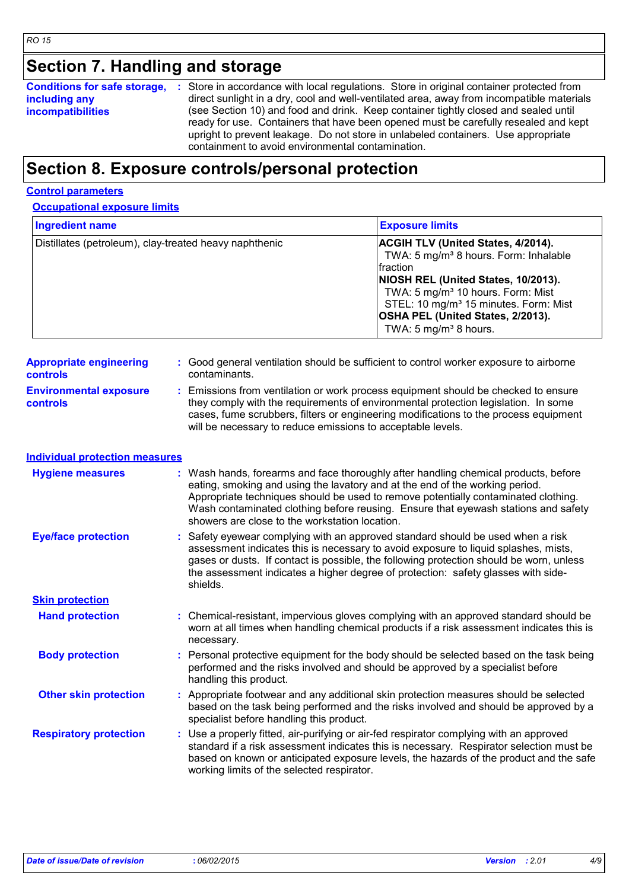## **Section 7. Handling and storage**

| <b>Conditions for safe storage,</b> | : Store in accordance with local regulations. Store in original container protected from                                                                                   |
|-------------------------------------|----------------------------------------------------------------------------------------------------------------------------------------------------------------------------|
| including any                       | direct sunlight in a dry, cool and well-ventilated area, away from incompatible materials                                                                                  |
| <b>incompatibilities</b>            | (see Section 10) and food and drink. Keep container tightly closed and sealed until<br>ready for use. Containers that have been opened must be carefully resealed and kept |
|                                     | upright to prevent leakage. Do not store in unlabeled containers. Use appropriate                                                                                          |
|                                     | containment to avoid environmental contamination.                                                                                                                          |

## **Section 8. Exposure controls/personal protection**

### **Control parameters**

### **Occupational exposure limits**

| <b>Ingredient name</b>                                 | <b>Exposure limits</b>                                                                                                                                                                                                                                                                                                         |
|--------------------------------------------------------|--------------------------------------------------------------------------------------------------------------------------------------------------------------------------------------------------------------------------------------------------------------------------------------------------------------------------------|
| Distillates (petroleum), clay-treated heavy naphthenic | <b>ACGIH TLV (United States, 4/2014).</b><br>TWA: 5 mg/m <sup>3</sup> 8 hours. Form: Inhalable<br>fraction<br>NIOSH REL (United States, 10/2013).<br>TWA: 5 mg/m <sup>3</sup> 10 hours. Form: Mist<br>STEL: 10 mg/m <sup>3</sup> 15 minutes. Form: Mist<br><b>OSHA PEL (United States, 2/2013).</b><br>TWA: 5 $mg/m3$ 8 hours. |

| <b>Appropriate engineering</b>                   | : Good general ventilation should be sufficient to control worker exposure to airborne                                                                                                                                                                                                                                          |
|--------------------------------------------------|---------------------------------------------------------------------------------------------------------------------------------------------------------------------------------------------------------------------------------------------------------------------------------------------------------------------------------|
| <b>controls</b>                                  | contaminants.                                                                                                                                                                                                                                                                                                                   |
| <b>Environmental exposure</b><br><b>controls</b> | : Emissions from ventilation or work process equipment should be checked to ensure<br>they comply with the requirements of environmental protection legislation. In some<br>cases, fume scrubbers, filters or engineering modifications to the process equipment<br>will be necessary to reduce emissions to acceptable levels. |

## **Individual protection measures**

| <b>Hygiene measures</b>       | : Wash hands, forearms and face thoroughly after handling chemical products, before<br>eating, smoking and using the lavatory and at the end of the working period.<br>Appropriate techniques should be used to remove potentially contaminated clothing.<br>Wash contaminated clothing before reusing. Ensure that eyewash stations and safety<br>showers are close to the workstation location. |
|-------------------------------|---------------------------------------------------------------------------------------------------------------------------------------------------------------------------------------------------------------------------------------------------------------------------------------------------------------------------------------------------------------------------------------------------|
| <b>Eye/face protection</b>    | : Safety eyewear complying with an approved standard should be used when a risk<br>assessment indicates this is necessary to avoid exposure to liquid splashes, mists,<br>gases or dusts. If contact is possible, the following protection should be worn, unless<br>the assessment indicates a higher degree of protection: safety glasses with side-<br>shields.                                |
| <b>Skin protection</b>        |                                                                                                                                                                                                                                                                                                                                                                                                   |
| <b>Hand protection</b>        | : Chemical-resistant, impervious gloves complying with an approved standard should be<br>worn at all times when handling chemical products if a risk assessment indicates this is<br>necessary.                                                                                                                                                                                                   |
| <b>Body protection</b>        | : Personal protective equipment for the body should be selected based on the task being<br>performed and the risks involved and should be approved by a specialist before<br>handling this product.                                                                                                                                                                                               |
| <b>Other skin protection</b>  | : Appropriate footwear and any additional skin protection measures should be selected<br>based on the task being performed and the risks involved and should be approved by a<br>specialist before handling this product.                                                                                                                                                                         |
| <b>Respiratory protection</b> | : Use a properly fitted, air-purifying or air-fed respirator complying with an approved<br>standard if a risk assessment indicates this is necessary. Respirator selection must be<br>based on known or anticipated exposure levels, the hazards of the product and the safe<br>working limits of the selected respirator.                                                                        |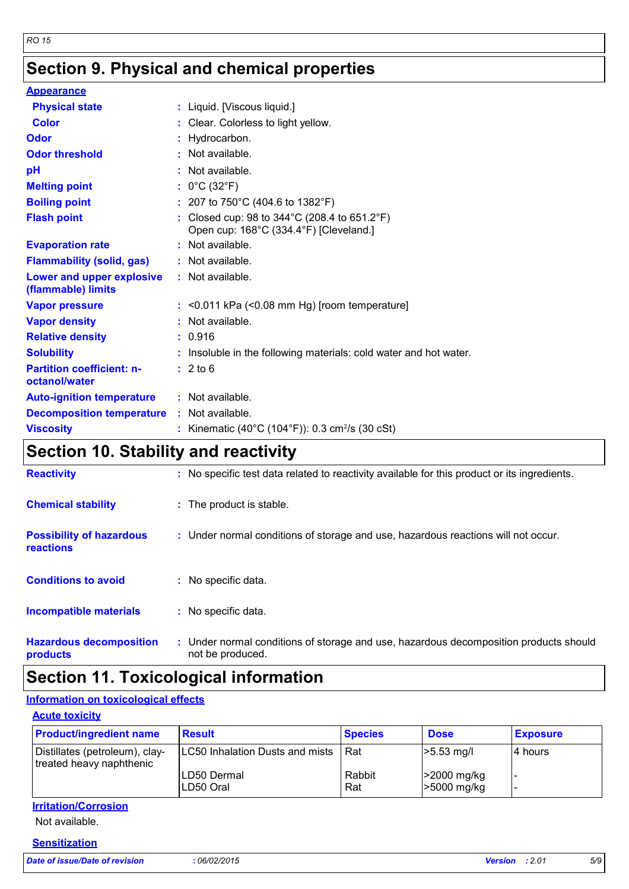## **Section 9. Physical and chemical properties**

| <b>Appearance</b>                                 |                                                                                                             |
|---------------------------------------------------|-------------------------------------------------------------------------------------------------------------|
| <b>Physical state</b>                             | : Liquid. [Viscous liquid.]                                                                                 |
| Color                                             | : Clear. Colorless to light yellow.                                                                         |
| Odor                                              | : Hydrocarbon.                                                                                              |
| <b>Odor threshold</b>                             | $:$ Not available.                                                                                          |
| pH                                                | $:$ Not available.                                                                                          |
| <b>Melting point</b>                              | : $0^{\circ}$ C (32 $^{\circ}$ F)                                                                           |
| <b>Boiling point</b>                              | : 207 to 750°C (404.6 to 1382°F)                                                                            |
| <b>Flash point</b>                                | : Closed cup: 98 to $344^{\circ}$ C (208.4 to 651.2 $^{\circ}$ F)<br>Open cup: 168°C (334.4°F) [Cleveland.] |
| <b>Evaporation rate</b>                           | : Not available.                                                                                            |
| <b>Flammability (solid, gas)</b>                  | : Not available.                                                                                            |
| Lower and upper explosive<br>(flammable) limits   | : Not available.                                                                                            |
| <b>Vapor pressure</b>                             | $:$ <0.011 kPa (<0.08 mm Hg) [room temperature]                                                             |
| <b>Vapor density</b>                              | $:$ Not available.                                                                                          |
| <b>Relative density</b>                           | : 0.916                                                                                                     |
| <b>Solubility</b>                                 | : Insoluble in the following materials: cold water and hot water.                                           |
| <b>Partition coefficient: n-</b><br>octanol/water | : 2 to 6                                                                                                    |
| <b>Auto-ignition temperature</b>                  | : Not available.                                                                                            |
| <b>Decomposition temperature</b>                  | : Not available.                                                                                            |
| <b>Viscosity</b>                                  | : Kinematic (40°C (104°F)): 0.3 cm <sup>2</sup> /s (30 cSt)                                                 |

## **Section 10. Stability and reactivity**

| <b>Reactivity</b>                                   | : No specific test data related to reactivity available for this product or its ingredients.              |
|-----------------------------------------------------|-----------------------------------------------------------------------------------------------------------|
| <b>Chemical stability</b>                           | : The product is stable.                                                                                  |
| <b>Possibility of hazardous</b><br><b>reactions</b> | : Under normal conditions of storage and use, hazardous reactions will not occur.                         |
| <b>Conditions to avoid</b>                          | : No specific data.                                                                                       |
| <b>Incompatible materials</b>                       | : No specific data.                                                                                       |
| <b>Hazardous decomposition</b><br>products          | : Under normal conditions of storage and use, hazardous decomposition products should<br>not be produced. |

## **Section 11. Toxicological information**

### **Information on toxicological effects**

### **Acute toxicity**

| <b>Product/ingredient name</b>                             | <b>Result</b>                   | <b>Species</b> | <b>Dose</b>                | <b>Exposure</b> |
|------------------------------------------------------------|---------------------------------|----------------|----------------------------|-----------------|
| Distillates (petroleum), clay-<br>treated heavy naphthenic | LC50 Inhalation Dusts and mists | Rat            | $>5.53$ mg/l               | 14 hours        |
|                                                            | ILD50 Dermal<br>LD50 Oral       | Rabbit<br>Rat  | >2000 mg/kg<br>>5000 mg/kg |                 |

### **Irritation/Corrosion**

Not available.

### **Sensitization**

*Date of issue/Date of revision* **:** *06/02/2015 Version : 2.01 5/9*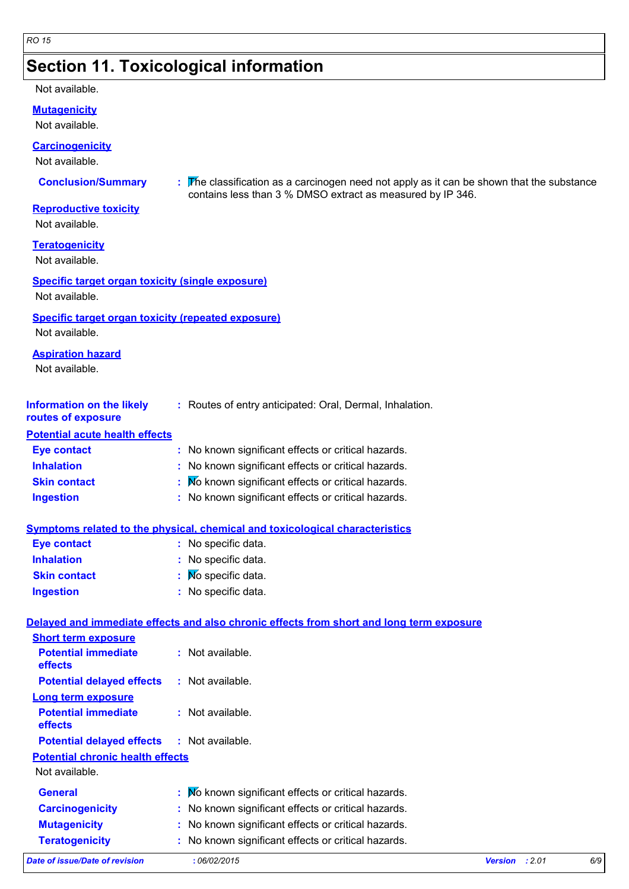## **Section 11. Toxicological information**

### Not available.

**Mutagenicity**

Not available.

### **Carcinogenicity**

Not available.

**Conclusion/Summary :** The classification as a carcinogen need not apply as it can be shown that the substance contains less than 3 % DMSO extract as measured by IP 346.

### **Reproductive toxicity**

Not available.

**Teratogenicity**

Not available.

### **Specific target organ toxicity (single exposure)**

Not available.

### **Specific target organ toxicity (repeated exposure)**

Not available.

### **Aspiration hazard**

Not available.

| Information on the likely | : Routes of entry anticipated: Oral, Dermal, Inhalation. |
|---------------------------|----------------------------------------------------------|
| routes of exposure        |                                                          |

### **Potential acute health effects**

**Short term exposure**

| Eye contact         | : No known significant effects or critical hazards. |
|---------------------|-----------------------------------------------------|
| <b>Inhalation</b>   | : No known significant effects or critical hazards. |
| <b>Skin contact</b> | : Mo known significant effects or critical hazards. |
| <b>Ingestion</b>    | : No known significant effects or critical hazards. |

### **Symptoms related to the physical, chemical and toxicological characteristics**

| <b>Eye contact</b>  | : No specific data.            |
|---------------------|--------------------------------|
| <b>Inhalation</b>   | : No specific data.            |
| <b>Skin contact</b> | $\mathbf{N}$ Mo specific data. |
| <b>Ingestion</b>    | : No specific data.            |

### **Delayed and immediate effects and also chronic effects from short and long term exposure**

| Date of issue/Date of revision                    | :06/02/2015                                         |
|---------------------------------------------------|-----------------------------------------------------|
| <b>Teratogenicity</b>                             | : No known significant effects or critical hazards. |
| <b>Mutagenicity</b>                               | : No known significant effects or critical hazards. |
| <b>Carcinogenicity</b>                            | : No known significant effects or critical hazards. |
| <b>General</b>                                    | : No known significant effects or critical hazards. |
| Not available.                                    |                                                     |
| <b>Potential chronic health effects</b>           |                                                     |
| <b>Potential delayed effects : Not available.</b> |                                                     |
| <b>Potential immediate</b><br>effects             | $:$ Not available.                                  |
| <b>Long term exposure</b>                         |                                                     |
| <b>Potential delayed effects</b>                  | $:$ Not available.                                  |
| <b>Potential immediate</b><br>effects             | : Not available.                                    |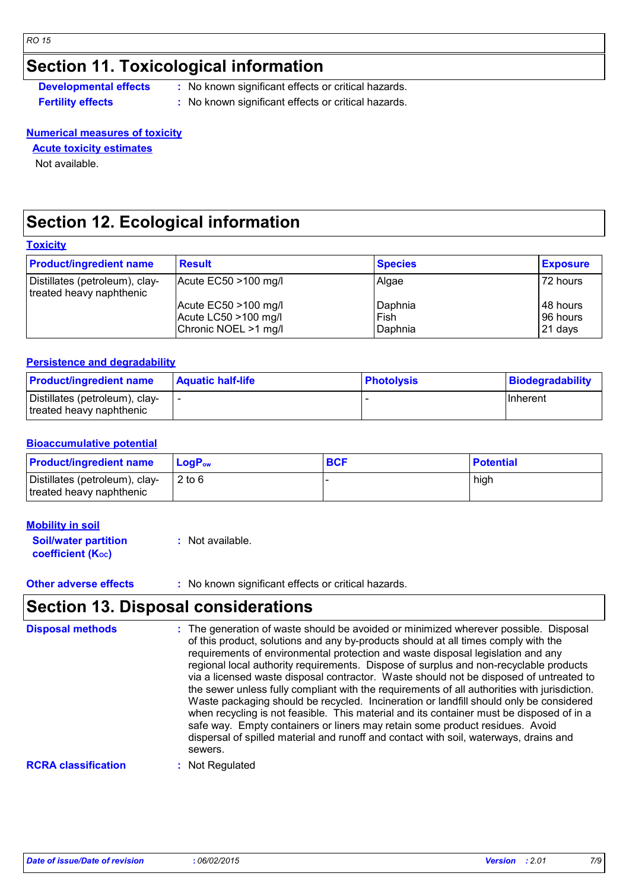## **Section 11. Toxicological information**

**Developmental effects** : No known significant effects or critical hazards.

**Fertility effects :** No known significant effects or critical hazards.

### **Numerical measures of toxicity**

### **Acute toxicity estimates**

Not available.

## **Section 12. Ecological information**

### **Toxicity**

| <b>Product/ingredient name</b>                             | <b>Result</b>          | <b>Species</b> | <b>Exposure</b> |
|------------------------------------------------------------|------------------------|----------------|-----------------|
| Distillates (petroleum), clay-<br>treated heavy naphthenic | Acute EC50 >100 mg/l   | Algae          | 72 hours        |
|                                                            | Acute EC50 >100 mg/l   | Daphnia        | 48 hours        |
|                                                            | Acute LC50 $>100$ mg/l | Fish           | 96 hours        |
|                                                            | Chronic NOEL >1 mg/l   | Daphnia        | 21 days         |

### **Persistence and degradability**

| <b>Product/ingredient name</b>                             | <b>Aquatic half-life</b> | <b>Photolysis</b> | Biodegradability |
|------------------------------------------------------------|--------------------------|-------------------|------------------|
| Distillates (petroleum), clay-<br>treated heavy naphthenic |                          |                   | <b>Inherent</b>  |

### **Bioaccumulative potential**

| <b>Product/ingredient name</b>                             | LogP <sub>ow</sub> | <b>BCF</b> | <b>Potential</b> |
|------------------------------------------------------------|--------------------|------------|------------------|
| Distillates (petroleum), clay-<br>treated heavy naphthenic | $2$ to 6           |            | high             |

### **Mobility in soil**

| <b>Soil/water partition</b> | $:$ Not available. |
|-----------------------------|--------------------|
| <b>coefficient (Koc)</b>    |                    |

### **Other adverse effects** : No known significant effects or critical hazards.

## **Section 13. Disposal considerations**

| <b>Disposal methods</b>    | : The generation of waste should be avoided or minimized wherever possible. Disposal<br>of this product, solutions and any by-products should at all times comply with the<br>requirements of environmental protection and waste disposal legislation and any<br>regional local authority requirements. Dispose of surplus and non-recyclable products<br>via a licensed waste disposal contractor. Waste should not be disposed of untreated to<br>the sewer unless fully compliant with the requirements of all authorities with jurisdiction.<br>Waste packaging should be recycled. Incineration or landfill should only be considered<br>when recycling is not feasible. This material and its container must be disposed of in a<br>safe way. Empty containers or liners may retain some product residues. Avoid<br>dispersal of spilled material and runoff and contact with soil, waterways, drains and<br>sewers. |
|----------------------------|----------------------------------------------------------------------------------------------------------------------------------------------------------------------------------------------------------------------------------------------------------------------------------------------------------------------------------------------------------------------------------------------------------------------------------------------------------------------------------------------------------------------------------------------------------------------------------------------------------------------------------------------------------------------------------------------------------------------------------------------------------------------------------------------------------------------------------------------------------------------------------------------------------------------------|
| <b>RCRA classification</b> | Not Regulated                                                                                                                                                                                                                                                                                                                                                                                                                                                                                                                                                                                                                                                                                                                                                                                                                                                                                                              |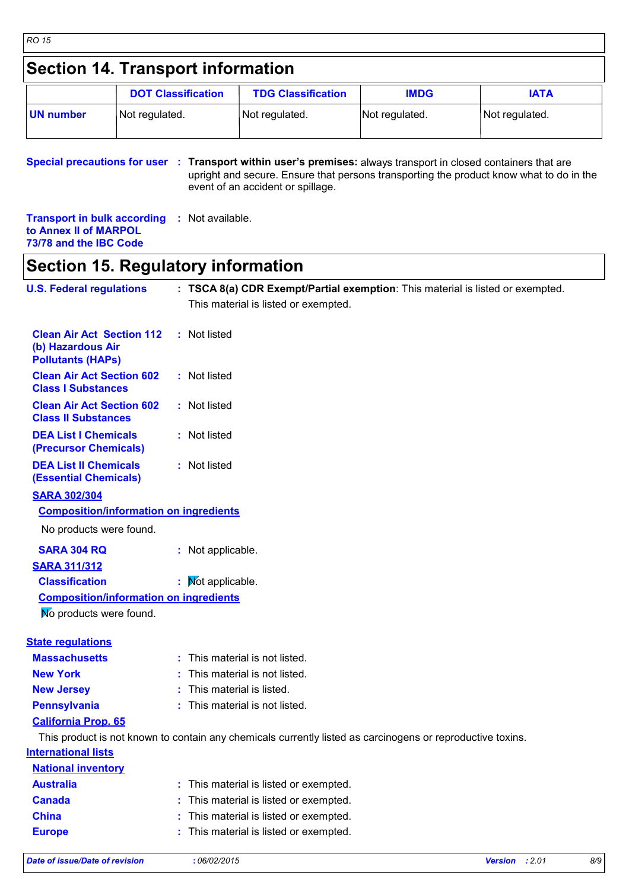## **Section 14. Transport information**

|           | <b>DOT Classification</b> | <b>TDG Classification</b> | <b>IMDG</b>    | IATA           |
|-----------|---------------------------|---------------------------|----------------|----------------|
| UN number | Not regulated.            | Not regulated.            | Not regulated. | Not regulated. |

**Special precautions for user** : Transport within user's premises: always transport in closed containers that are upright and secure. Ensure that persons transporting the product know what to do in the event of an accident or spillage.

**Transport in bulk according :** Not available. **to Annex II of MARPOL 73/78 and the IBC Code**

## **Section 15. Regulatory information**

| <b>U.S. Federal regulations</b>                                                   | : TSCA 8(a) CDR Exempt/Partial exemption: This material is listed or exempted.                             |  |
|-----------------------------------------------------------------------------------|------------------------------------------------------------------------------------------------------------|--|
|                                                                                   | This material is listed or exempted.                                                                       |  |
| <b>Clean Air Act Section 112</b><br>(b) Hazardous Air<br><b>Pollutants (HAPs)</b> | : Not listed                                                                                               |  |
| <b>Clean Air Act Section 602</b><br><b>Class I Substances</b>                     | : Not listed                                                                                               |  |
| <b>Clean Air Act Section 602</b><br><b>Class II Substances</b>                    | : Not listed                                                                                               |  |
| <b>DEA List I Chemicals</b><br>(Precursor Chemicals)                              | : Not listed                                                                                               |  |
| <b>DEA List II Chemicals</b><br><b>(Essential Chemicals)</b>                      | : Not listed                                                                                               |  |
| <b>SARA 302/304</b>                                                               |                                                                                                            |  |
| <b>Composition/information on ingredients</b>                                     |                                                                                                            |  |
| No products were found.                                                           |                                                                                                            |  |
| <b>SARA 304 RQ</b>                                                                | : Not applicable.                                                                                          |  |
| <b>SARA 311/312</b>                                                               |                                                                                                            |  |
| <b>Classification</b>                                                             | : Mot applicable.                                                                                          |  |
| <b>Composition/information on ingredients</b>                                     |                                                                                                            |  |
| No products were found.                                                           |                                                                                                            |  |
| <b>State regulations</b>                                                          |                                                                                                            |  |
| <b>Massachusetts</b>                                                              | : This material is not listed.                                                                             |  |
| <b>New York</b>                                                                   | : This material is not listed.                                                                             |  |
| <b>New Jersey</b>                                                                 | This material is listed.                                                                                   |  |
| <b>Pennsylvania</b>                                                               | : This material is not listed.                                                                             |  |
| <b>California Prop. 65</b>                                                        |                                                                                                            |  |
|                                                                                   | This product is not known to contain any chemicals currently listed as carcinogens or reproductive toxins. |  |
| <b>International lists</b>                                                        |                                                                                                            |  |
| <b>National inventory</b>                                                         |                                                                                                            |  |
| <b>Australia</b>                                                                  | : This material is listed or exempted.                                                                     |  |
| <b>Canada</b>                                                                     | : This material is listed or exempted.                                                                     |  |
| <b>China</b>                                                                      | : This material is listed or exempted.                                                                     |  |
| <b>Europe</b>                                                                     | This material is listed or exempted.                                                                       |  |